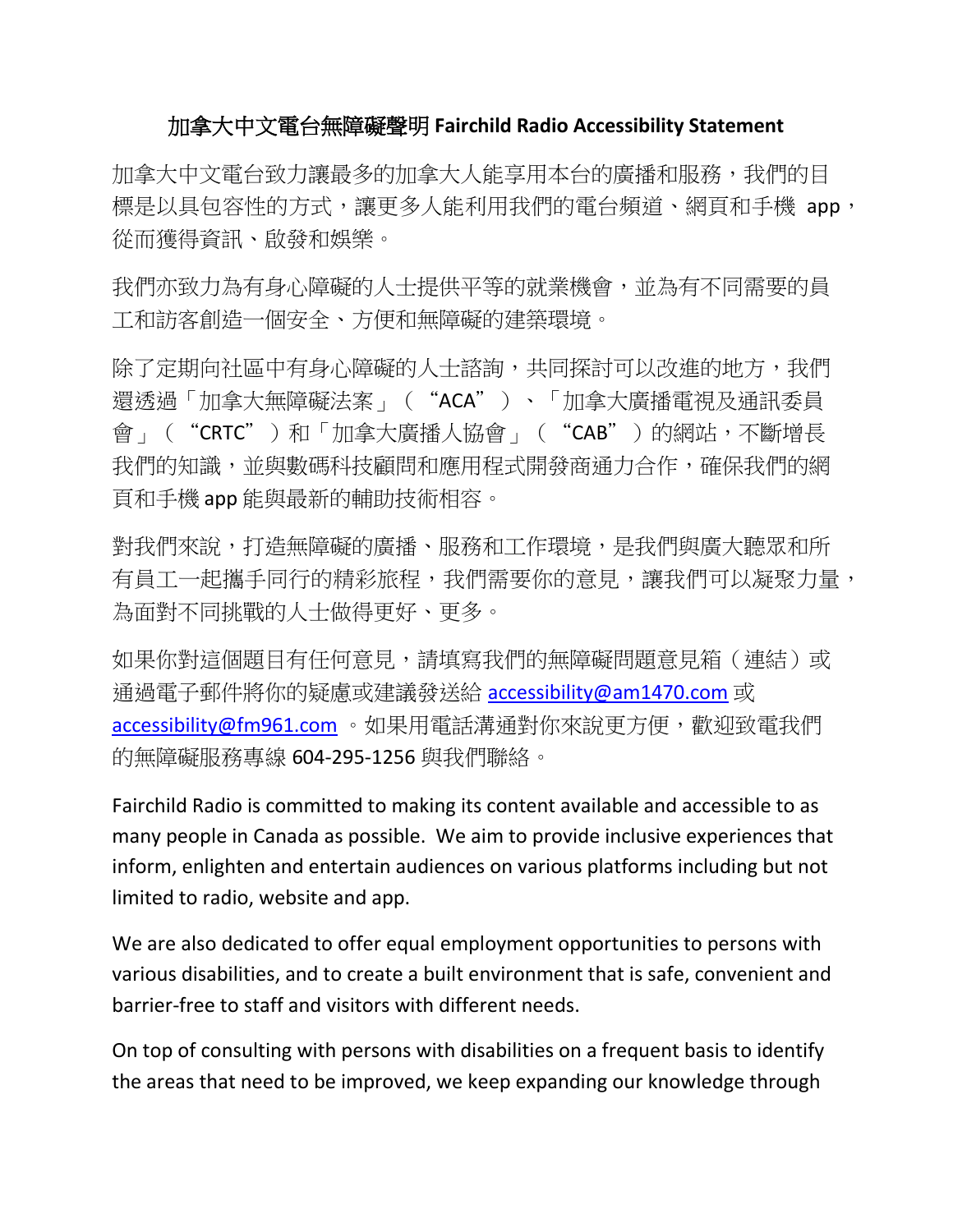## 加拿大中文電台無障礙聲明 **Fairchild Radio Accessibility Statement**

加拿大中文電台致力讓最多的加拿大人能享用本台的廣播和服務,我們的目 標是以具包容性的方式,讓更多人能利用我們的電台頻道、網頁和手機 app, 從而獲得資訊、啟發和娛樂。

我們亦致力為有身心障礙的人士提供平等的就業機會,並為有不同需要的員 工和訪客創造一個安全、方便和無障礙的建築環境。

除了定期向社區中有身心障礙的人士諮詢,共同探討可以改進的地方,我們 還透過「加拿大無障礙法案」("ACA")、「加拿大廣播電視及通訊委員 會」("CRTC")和「加拿大廣播人協會」("CAB")的網站,不斷增長 我們的知識,並與數碼科技顧問和應用程式開發商通力合作,確保我們的網 頁和手機 app 能與最新的輔助技術相容。

對我們來說,打造無障礙的廣播、服務和工作環境,是我們與廣大聽眾和所 有員工一起攜手同行的精彩旅程,我們需要你的意見,讓我們可以凝聚力量, 為面對不同挑戰的人士做得更好、更多。

如果你對這個題目有任何意見,請填寫我們的無障礙問題意見箱(連結)或 通過電子郵件將你的疑慮或建議發送給 [accessibility@am1470.com](mailto:accessibility@am1470.com) 或 [accessibility@fm961.com](mailto:accessibility@fm961.com) 。如果用電話溝通對你來說更方便,歡迎致電我們 的無障礙服務專線 604-295-1256 與我們聯絡。

Fairchild Radio is committed to making its content available and accessible to as many people in Canada as possible. We aim to provide inclusive experiences that inform, enlighten and entertain audiences on various platforms including but not limited to radio, website and app.

We are also dedicated to offer equal employment opportunities to persons with various disabilities, and to create a built environment that is safe, convenient and barrier-free to staff and visitors with different needs.

On top of consulting with persons with disabilities on a frequent basis to identify the areas that need to be improved, we keep expanding our knowledge through